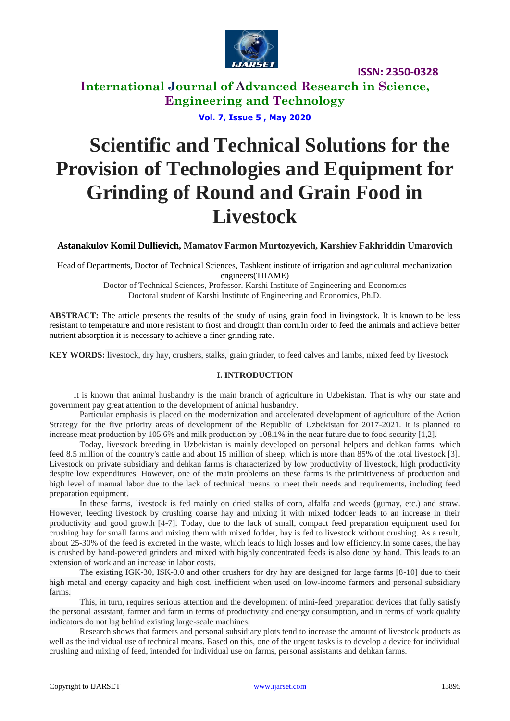

**ISSN: 2350-0328**

**International Journal of Advanced Research in Science, Engineering and Technology**

**Vol. 7, Issue 5 , May 2020**

# **Scientific and Technical Solutions for the Provision of Technologies and Equipment for Grinding of Round and Grain Food in Livestock**

**Astanakulov Komil Dullievich, Mamatov Farmon Murtozyevich, Karshiev Fakhriddin Umarovich**

Head of Departments, Doctor of Technical Sciences, Tashkent institute of irrigation and agricultural mechanization engineers(TIIAME)

> Doctor of Technical Sciences, Professor. Karshi Institute of Engineering and Economics Doctoral student of Karshi Institute of Engineering and Economics, Ph.D.

**ABSTRACT:** The article presents the results of the study of using grain food in livingstock. It is known to be less resistant to temperature and more resistant to frost and drought than corn.In order to feed the animals and achieve better nutrient absorption it is necessary to achieve a finer grinding rate.

**KEY WORDS:** livestock, dry hay, crushers, stalks, grain grinder, to feed calves and lambs, mixed feed by livestock

## **I. INTRODUCTION**

It is known that animal husbandry is the main branch of agriculture in Uzbekistan. That is why our state and government pay great attention to the development of animal husbandry.

Particular emphasis is placed on the modernization and accelerated development of agriculture of the Action Strategy for the five priority areas of development of the Republic of Uzbekistan for 2017-2021. It is planned to increase meat production by 105.6% and milk production by 108.1% in the near future due to food security [1,2].

Today, livestock breeding in Uzbekistan is mainly developed on personal helpers and dehkan farms, which feed 8.5 million of the country's cattle and about 15 million of sheep, which is more than 85% of the total livestock [3]. Livestock on private subsidiary and dehkan farms is characterized by low productivity of livestock, high productivity despite low expenditures. However, one of the main problems on these farms is the primitiveness of production and high level of manual labor due to the lack of technical means to meet their needs and requirements, including feed preparation equipment.

In these farms, livestock is fed mainly on dried stalks of corn, alfalfa and weeds (gumay, etc.) and straw. However, feeding livestock by crushing coarse hay and mixing it with mixed fodder leads to an increase in their productivity and good growth [4-7]. Today, due to the lack of small, compact feed preparation equipment used for crushing hay for small farms and mixing them with mixed fodder, hay is fed to livestock without crushing. As a result, about 25-30% of the feed is excreted in the waste, which leads to high losses and low efficiency.In some cases, the hay is crushed by hand-powered grinders and mixed with highly concentrated feeds is also done by hand. This leads to an extension of work and an increase in labor costs.

The existing IGK-30, ISK-3.0 and other crushers for dry hay are designed for large farms [8-10] due to their high metal and energy capacity and high cost. inefficient when used on low-income farmers and personal subsidiary farms.

This, in turn, requires serious attention and the development of mini-feed preparation devices that fully satisfy the personal assistant, farmer and farm in terms of productivity and energy consumption, and in terms of work quality indicators do not lag behind existing large-scale machines.

Research shows that farmers and personal subsidiary plots tend to increase the amount of livestock products as well as the individual use of technical means. Based on this, one of the urgent tasks is to develop a device for individual crushing and mixing of feed, intended for individual use on farms, personal assistants and dehkan farms.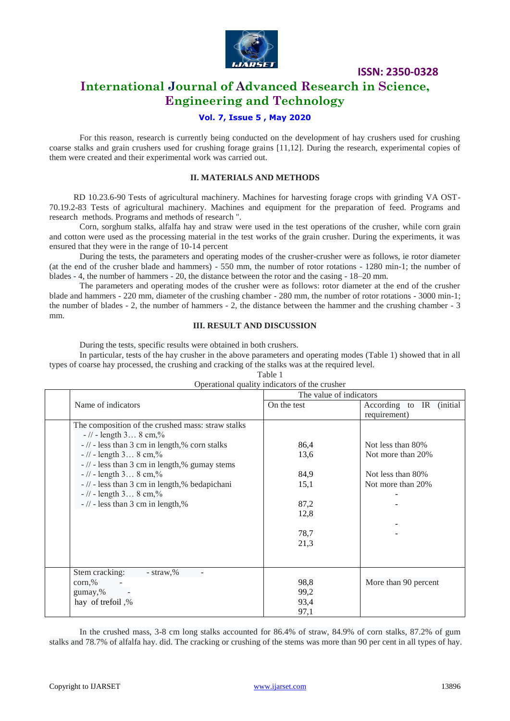

**ISSN: 2350-0328**

# **International Journal of Advanced Research in Science, Engineering and Technology**

## **Vol. 7, Issue 5 , May 2020**

For this reason, research is currently being conducted on the development of hay crushers used for crushing coarse stalks and grain crushers used for crushing forage grains [11,12]. During the research, experimental copies of them were created and their experimental work was carried out.

#### **II. MATERIALS AND METHODS**

RD 10.23.6-90 Tests of agricultural machinery. Machines for harvesting forage crops with grinding VA OST-70.19.2-83 Tests of agricultural machinery. Machines and equipment for the preparation of feed. Programs and research methods. Programs and methods of research ".

Corn, sorghum stalks, alfalfa hay and straw were used in the test operations of the crusher, while corn grain and cotton were used as the processing material in the test works of the grain crusher. During the experiments, it was ensured that they were in the range of 10-14 percent

During the tests, the parameters and operating modes of the crusher-crusher were as follows, ie rotor diameter (at the end of the crusher blade and hammers) - 550 mm, the number of rotor rotations - 1280 min-1; the number of blades - 4, the number of hammers - 20, the distance between the rotor and the casing - 18–20 mm.

The parameters and operating modes of the crusher were as follows: rotor diameter at the end of the crusher blade and hammers - 220 mm, diameter of the crushing chamber - 280 mm, the number of rotor rotations - 3000 min-1; the number of blades - 2, the number of hammers - 2, the distance between the hammer and the crushing chamber - 3 mm.

## **III. RESULT AND DISCUSSION**

During the tests, specific results were obtained in both crushers.

In particular, tests of the hay crusher in the above parameters and operating modes (Table 1) showed that in all types of coarse hay processed, the crushing and cracking of the stalks was at the required level.

| łΓ<br>١<br>. .<br>I |  |
|---------------------|--|
|---------------------|--|

|         | Operational quality indicators of the crusher     |                         |                          |  |
|---------|---------------------------------------------------|-------------------------|--------------------------|--|
|         |                                                   | The value of indicators |                          |  |
|         | Name of indicators                                | On the test             | According to IR (initial |  |
|         |                                                   |                         | requirement)             |  |
|         | The composition of the crushed mass: straw stalks |                         |                          |  |
|         | $-$ // - length 3 8 cm,%                          |                         |                          |  |
|         | $-$ // - less than 3 cm in length,% corn stalks   | 86,4                    | Not less than 80%        |  |
|         | $-$ // - length 3 8 cm,%                          | 13,6                    | Not more than 20%        |  |
|         | $-$ // - less than 3 cm in length,% gumay stems   |                         |                          |  |
|         | $-$ // - length 3 8 cm,%                          | 84,9                    | Not less than 80%        |  |
|         | $-$ // - less than 3 cm in length,% bedapichani   | 15,1                    | Not more than 20%        |  |
|         | $-$ // - length 3 8 cm,%                          |                         |                          |  |
|         | $-$ // - less than 3 cm in length,%               | 87,2                    |                          |  |
|         |                                                   | 12,8                    |                          |  |
|         |                                                   |                         |                          |  |
|         |                                                   | 78,7                    |                          |  |
|         |                                                   | 21,3                    |                          |  |
|         |                                                   |                         |                          |  |
|         |                                                   |                         |                          |  |
|         | Stem cracking:<br>$-$ straw, $%$                  |                         |                          |  |
| corn, % |                                                   | 98,8                    | More than 90 percent     |  |
|         | gumay,%                                           | 99,2                    |                          |  |
|         | hay of trefoil,%                                  | 93,4                    |                          |  |
|         |                                                   | 97,1                    |                          |  |
|         |                                                   |                         |                          |  |

## Operational quality indicators of the crusher

In the crushed mass, 3-8 cm long stalks accounted for 86.4% of straw, 84.9% of corn stalks, 87.2% of gum stalks and 78.7% of alfalfa hay. did. The cracking or crushing of the stems was more than 90 per cent in all types of hay.